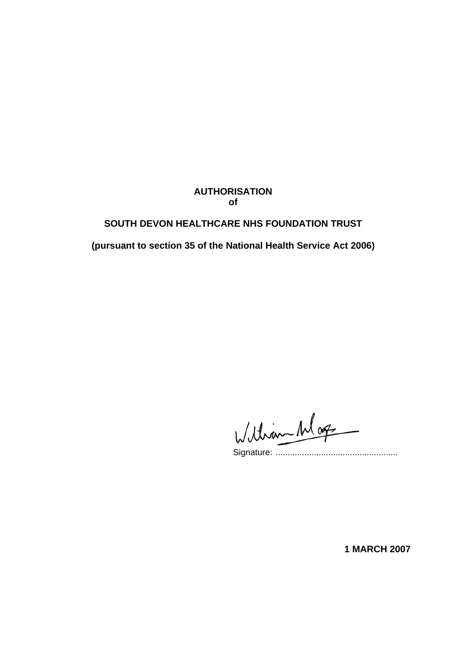## **AUTHORISATION of**

## **SOUTH DEVON HEALTHCARE NHS FOUNDATION TRUST**

**(pursuant to section 35 of the National Health Service Act 2006)** 

William Mag

Signature: ...................................................

**1 MARCH 2007**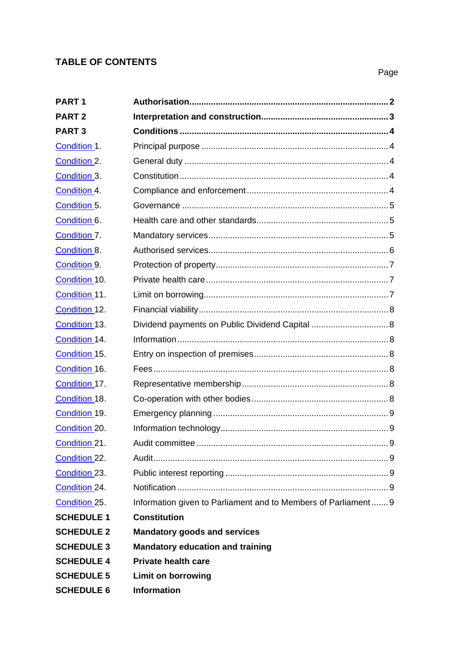# **TABLE OF CONTENTS**

| PART <sub>1</sub>         |                                                                |
|---------------------------|----------------------------------------------------------------|
| <b>PART 2</b>             |                                                                |
| <b>PART3</b>              |                                                                |
| Condition 1.              |                                                                |
| Condition 2.              |                                                                |
| Condition <sub>3</sub> .  |                                                                |
| Condition 4.              |                                                                |
| Condition 5.              |                                                                |
| Condition <sub>6</sub> .  |                                                                |
| Condition <sub>7</sub> .  |                                                                |
| Condition 8.              |                                                                |
| Condition 9.              |                                                                |
| Condition 10.             |                                                                |
| Condition 11.             |                                                                |
| Condition 12.             |                                                                |
| Condition 13.             |                                                                |
| Condition 14.             |                                                                |
| Condition 15.             |                                                                |
| Condition 16.             |                                                                |
| Condition 17.             |                                                                |
| Condition 18.             |                                                                |
| Condition 19.             |                                                                |
| Condition 20.             |                                                                |
| Condition <sub>21</sub> . |                                                                |
| Condition 22.             |                                                                |
| Condition 23.             |                                                                |
| Condition 24.             |                                                                |
| Condition 25.             | Information given to Parliament and to Members of Parliament 9 |
| <b>SCHEDULE 1</b>         | <b>Constitution</b>                                            |
| <b>SCHEDULE 2</b>         | <b>Mandatory goods and services</b>                            |
| <b>SCHEDULE 3</b>         | <b>Mandatory education and training</b>                        |
| <b>SCHEDULE 4</b>         | <b>Private health care</b>                                     |
| <b>SCHEDULE 5</b>         | <b>Limit on borrowing</b>                                      |
| <b>SCHEDULE 6</b>         | <b>Information</b>                                             |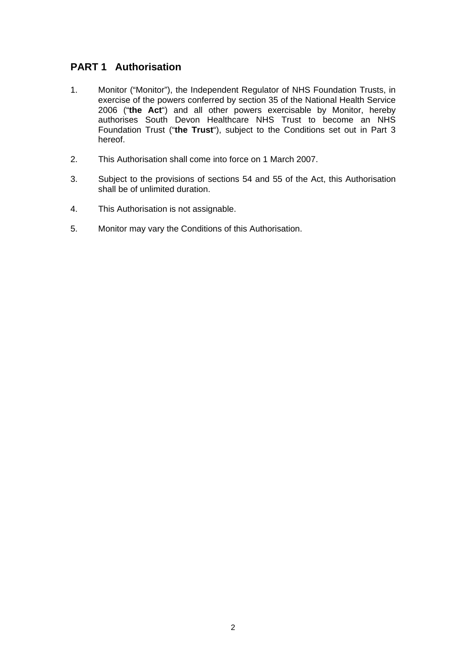## <span id="page-2-0"></span>**PART 1 Authorisation**

- 1. Monitor ("Monitor"), the Independent Regulator of NHS Foundation Trusts, in exercise of the powers conferred by section 35 of the National Health Service 2006 ("**the Act**") and all other powers exercisable by Monitor, hereby authorises South Devon Healthcare NHS Trust to become an NHS Foundation Trust ("**the Trust**"), subject to the Conditions set out in Part 3 hereof.
- 2. This Authorisation shall come into force on 1 March 2007.
- 3. Subject to the provisions of sections 54 and 55 of the Act, this Authorisation shall be of unlimited duration.
- 4. This Authorisation is not assignable.
- 5. Monitor may vary the Conditions of this Authorisation.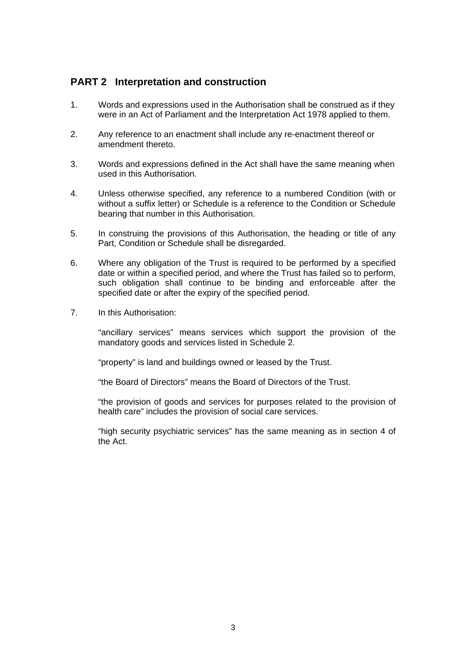## <span id="page-3-0"></span>**PART 2 Interpretation and construction**

- 1. Words and expressions used in the Authorisation shall be construed as if they were in an Act of Parliament and the Interpretation Act 1978 applied to them.
- 2. Any reference to an enactment shall include any re-enactment thereof or amendment thereto.
- 3. Words and expressions defined in the Act shall have the same meaning when used in this Authorisation.
- 4. Unless otherwise specified, any reference to a numbered Condition (with or without a suffix letter) or Schedule is a reference to the Condition or Schedule bearing that number in this Authorisation.
- 5. In construing the provisions of this Authorisation, the heading or title of any Part, Condition or Schedule shall be disregarded.
- 6. Where any obligation of the Trust is required to be performed by a specified date or within a specified period, and where the Trust has failed so to perform, such obligation shall continue to be binding and enforceable after the specified date or after the expiry of the specified period.
- 7. In this Authorisation:

 "ancillary services" means services which support the provision of the mandatory goods and services listed in Schedule 2.

"property" is land and buildings owned or leased by the Trust.

"the Board of Directors" means the Board of Directors of the Trust.

 "the provision of goods and services for purposes related to the provision of health care" includes the provision of social care services.

 "high security psychiatric services" has the same meaning as in section 4 of the Act.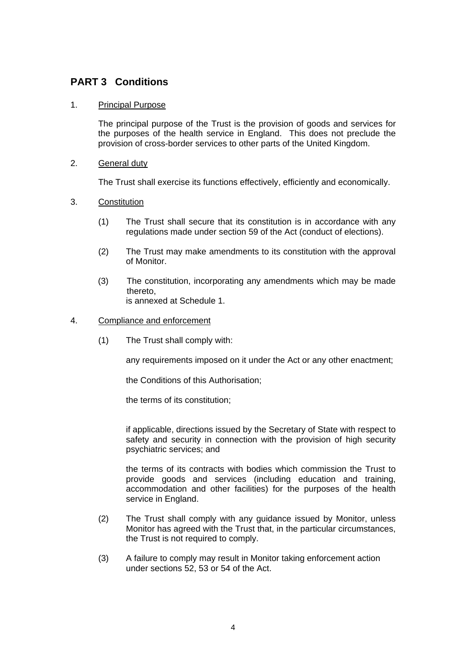## <span id="page-4-0"></span>**PART 3 Conditions**

## 1. Principal Purpose

 The principal purpose of the Trust is the provision of goods and services for the purposes of the health service in England. This does not preclude the provision of cross-border services to other parts of the United Kingdom.

### 2. General duty

The Trust shall exercise its functions effectively, efficiently and economically.

## 3. Constitution

- (1) The Trust shall secure that its constitution is in accordance with any regulations made under section 59 of the Act (conduct of elections).
- (2) The Trust may make amendments to its constitution with the approval of Monitor.
- (3) The constitution, incorporating any amendments which may be made thereto, is annexed at Schedule 1.
- 4. Compliance and enforcement
	- (1) The Trust shall comply with:

any requirements imposed on it under the Act or any other enactment;

the Conditions of this Authorisation;

the terms of its constitution;

if applicable, directions issued by the Secretary of State with respect to safety and security in connection with the provision of high security psychiatric services; and

the terms of its contracts with bodies which commission the Trust to provide goods and services (including education and training, accommodation and other facilities) for the purposes of the health service in England.

- (2) The Trust shall comply with any guidance issued by Monitor, unless Monitor has agreed with the Trust that, in the particular circumstances, the Trust is not required to comply.
- (3) A failure to comply may result in Monitor taking enforcement action under sections 52, 53 or 54 of the Act.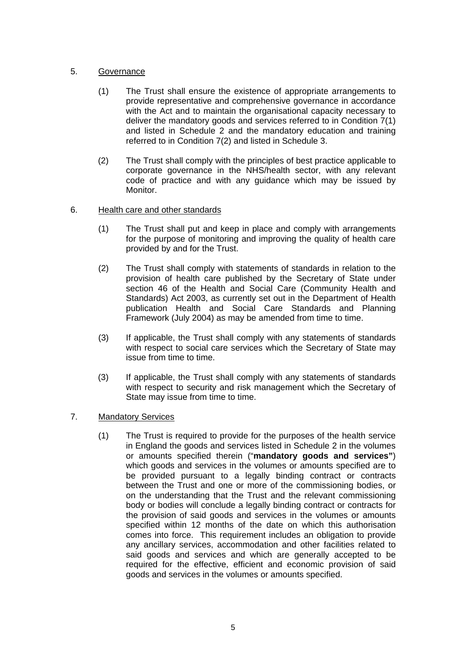## <span id="page-5-0"></span>5. Governance

- (1) The Trust shall ensure the existence of appropriate arrangements to provide representative and comprehensive governance in accordance with the Act and to maintain the organisational capacity necessary to deliver the mandatory goods and services referred to in Condition 7(1) and listed in Schedule 2 and the mandatory education and training referred to in Condition 7(2) and listed in Schedule 3.
- (2) The Trust shall comply with the principles of best practice applicable to corporate governance in the NHS/health sector, with any relevant code of practice and with any guidance which may be issued by Monitor.

## 6. Health care and other standards

- (1) The Trust shall put and keep in place and comply with arrangements for the purpose of monitoring and improving the quality of health care provided by and for the Trust.
- (2) The Trust shall comply with statements of standards in relation to the provision of health care published by the Secretary of State under section 46 of the Health and Social Care (Community Health and Standards) Act 2003, as currently set out in the Department of Health publication Health and Social Care Standards and Planning Framework (July 2004) as may be amended from time to time.
- (3) If applicable, the Trust shall comply with any statements of standards with respect to social care services which the Secretary of State may issue from time to time.
- (3) If applicable, the Trust shall comply with any statements of standards with respect to security and risk management which the Secretary of State may issue from time to time.
- 7. Mandatory Services
	- (1) The Trust is required to provide for the purposes of the health service in England the goods and services listed in Schedule 2 in the volumes or amounts specified therein ("**mandatory goods and services"**) which goods and services in the volumes or amounts specified are to be provided pursuant to a legally binding contract or contracts between the Trust and one or more of the commissioning bodies, or on the understanding that the Trust and the relevant commissioning body or bodies will conclude a legally binding contract or contracts for the provision of said goods and services in the volumes or amounts specified within 12 months of the date on which this authorisation comes into force. This requirement includes an obligation to provide any ancillary services, accommodation and other facilities related to said goods and services and which are generally accepted to be required for the effective, efficient and economic provision of said goods and services in the volumes or amounts specified.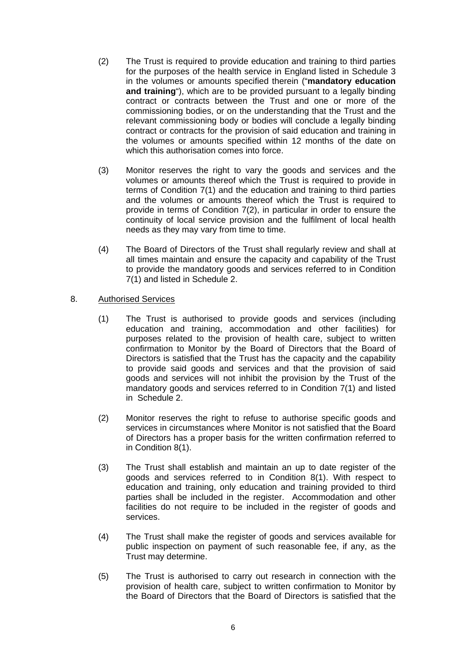- <span id="page-6-0"></span>(2) The Trust is required to provide education and training to third parties for the purposes of the health service in England listed in Schedule 3 in the volumes or amounts specified therein ("**mandatory education and training**"), which are to be provided pursuant to a legally binding contract or contracts between the Trust and one or more of the commissioning bodies, or on the understanding that the Trust and the relevant commissioning body or bodies will conclude a legally binding contract or contracts for the provision of said education and training in the volumes or amounts specified within 12 months of the date on which this authorisation comes into force.
- (3) Monitor reserves the right to vary the goods and services and the volumes or amounts thereof which the Trust is required to provide in terms of Condition 7(1) and the education and training to third parties and the volumes or amounts thereof which the Trust is required to provide in terms of Condition 7(2), in particular in order to ensure the continuity of local service provision and the fulfilment of local health needs as they may vary from time to time.
- (4) The Board of Directors of the Trust shall regularly review and shall at all times maintain and ensure the capacity and capability of the Trust to provide the mandatory goods and services referred to in Condition 7(1) and listed in Schedule 2.

## 8. Authorised Services

- (1) The Trust is authorised to provide goods and services (including education and training, accommodation and other facilities) for purposes related to the provision of health care, subject to written confirmation to Monitor by the Board of Directors that the Board of Directors is satisfied that the Trust has the capacity and the capability to provide said goods and services and that the provision of said goods and services will not inhibit the provision by the Trust of the mandatory goods and services referred to in Condition 7(1) and listed in Schedule 2.
- (2) Monitor reserves the right to refuse to authorise specific goods and services in circumstances where Monitor is not satisfied that the Board of Directors has a proper basis for the written confirmation referred to in Condition 8(1).
- (3) The Trust shall establish and maintain an up to date register of the goods and services referred to in Condition 8(1). With respect to education and training, only education and training provided to third parties shall be included in the register. Accommodation and other facilities do not require to be included in the register of goods and services.
- (4) The Trust shall make the register of goods and services available for public inspection on payment of such reasonable fee, if any, as the Trust may determine.
- (5) The Trust is authorised to carry out research in connection with the provision of health care, subject to written confirmation to Monitor by the Board of Directors that the Board of Directors is satisfied that the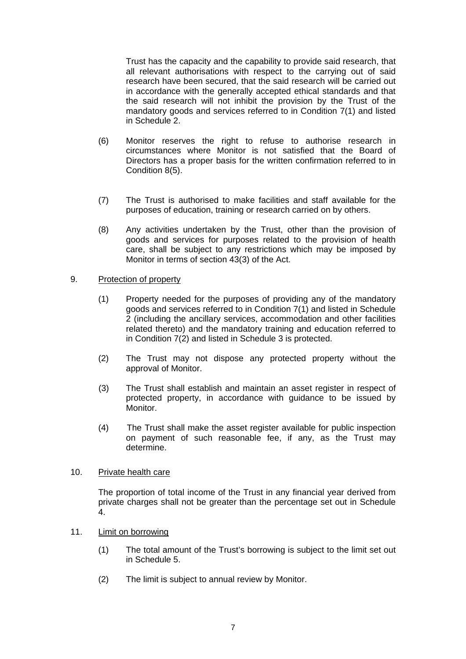<span id="page-7-0"></span>Trust has the capacity and the capability to provide said research, that all relevant authorisations with respect to the carrying out of said research have been secured, that the said research will be carried out in accordance with the generally accepted ethical standards and that the said research will not inhibit the provision by the Trust of the mandatory goods and services referred to in Condition 7(1) and listed in Schedule 2.

- (6) Monitor reserves the right to refuse to authorise research in circumstances where Monitor is not satisfied that the Board of Directors has a proper basis for the written confirmation referred to in Condition 8(5).
- (7) The Trust is authorised to make facilities and staff available for the purposes of education, training or research carried on by others.
- (8) Any activities undertaken by the Trust, other than the provision of goods and services for purposes related to the provision of health care, shall be subject to any restrictions which may be imposed by Monitor in terms of section 43(3) of the Act.

## 9. Protection of property

- (1) Property needed for the purposes of providing any of the mandatory goods and services referred to in Condition 7(1) and listed in Schedule 2 (including the ancillary services, accommodation and other facilities related thereto) and the mandatory training and education referred to in Condition 7(2) and listed in Schedule 3 is protected.
- (2) The Trust may not dispose any protected property without the approval of Monitor.
- (3) The Trust shall establish and maintain an asset register in respect of protected property, in accordance with guidance to be issued by Monitor.
- (4) The Trust shall make the asset register available for public inspection on payment of such reasonable fee, if any, as the Trust may determine.

#### 10. Private health care

The proportion of total income of the Trust in any financial year derived from private charges shall not be greater than the percentage set out in Schedule 4.

#### 11. Limit on borrowing

- (1) The total amount of the Trust's borrowing is subject to the limit set out in Schedule 5.
- (2) The limit is subject to annual review by Monitor.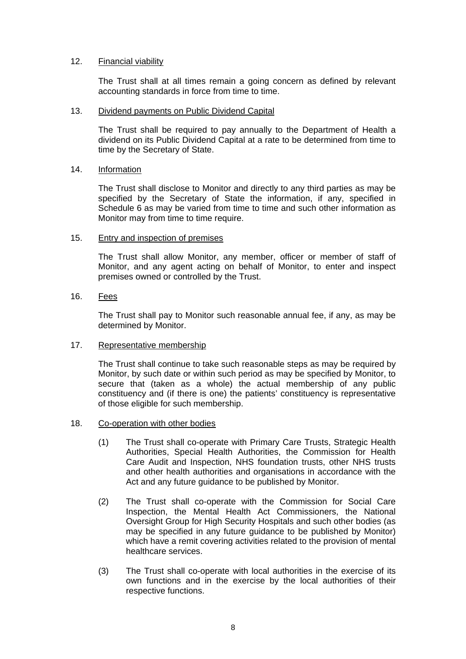### <span id="page-8-0"></span>12. Financial viability

 The Trust shall at all times remain a going concern as defined by relevant accounting standards in force from time to time.

#### 13. Dividend payments on Public Dividend Capital

The Trust shall be required to pay annually to the Department of Health a dividend on its Public Dividend Capital at a rate to be determined from time to time by the Secretary of State.

#### 14. Information

 The Trust shall disclose to Monitor and directly to any third parties as may be specified by the Secretary of State the information, if any, specified in Schedule 6 as may be varied from time to time and such other information as Monitor may from time to time require.

#### 15. Entry and inspection of premises

 The Trust shall allow Monitor, any member, officer or member of staff of Monitor, and any agent acting on behalf of Monitor, to enter and inspect premises owned or controlled by the Trust.

## 16. Fees

 The Trust shall pay to Monitor such reasonable annual fee, if any, as may be determined by Monitor.

#### 17. Representative membership

 The Trust shall continue to take such reasonable steps as may be required by Monitor, by such date or within such period as may be specified by Monitor, to secure that (taken as a whole) the actual membership of any public constituency and (if there is one) the patients' constituency is representative of those eligible for such membership.

#### 18. Co-operation with other bodies

- (1) The Trust shall co-operate with Primary Care Trusts, Strategic Health Authorities, Special Health Authorities, the Commission for Health Care Audit and Inspection, NHS foundation trusts, other NHS trusts and other health authorities and organisations in accordance with the Act and any future guidance to be published by Monitor.
- (2) The Trust shall co-operate with the Commission for Social Care Inspection, the Mental Health Act Commissioners, the National Oversight Group for High Security Hospitals and such other bodies (as may be specified in any future guidance to be published by Monitor) which have a remit covering activities related to the provision of mental healthcare services.
- (3) The Trust shall co-operate with local authorities in the exercise of its own functions and in the exercise by the local authorities of their respective functions.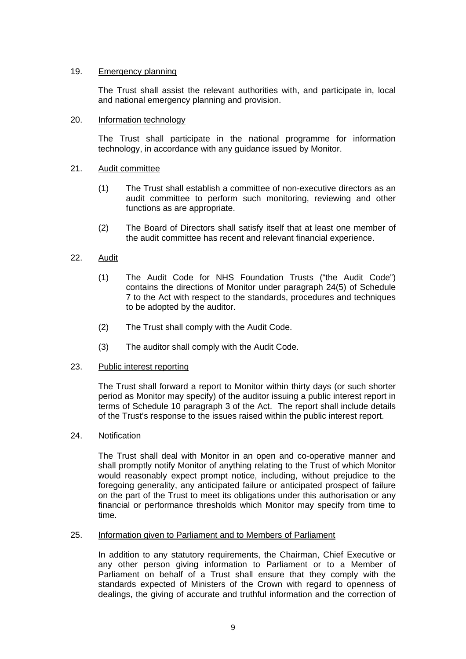## <span id="page-9-0"></span>19. Emergency planning

 The Trust shall assist the relevant authorities with, and participate in, local and national emergency planning and provision.

### 20. Information technology

 The Trust shall participate in the national programme for information technology, in accordance with any guidance issued by Monitor.

## 21. Audit committee

- (1) The Trust shall establish a committee of non-executive directors as an audit committee to perform such monitoring, reviewing and other functions as are appropriate.
- (2) The Board of Directors shall satisfy itself that at least one member of the audit committee has recent and relevant financial experience.

## 22. Audit

- (1) The Audit Code for NHS Foundation Trusts ("the Audit Code") contains the directions of Monitor under paragraph 24(5) of Schedule 7 to the Act with respect to the standards, procedures and techniques to be adopted by the auditor.
- (2) The Trust shall comply with the Audit Code.
- (3) The auditor shall comply with the Audit Code.

#### 23. Public interest reporting

 The Trust shall forward a report to Monitor within thirty days (or such shorter period as Monitor may specify) of the auditor issuing a public interest report in terms of Schedule 10 paragraph 3 of the Act. The report shall include details of the Trust's response to the issues raised within the public interest report.

#### 24. Notification

The Trust shall deal with Monitor in an open and co-operative manner and shall promptly notify Monitor of anything relating to the Trust of which Monitor would reasonably expect prompt notice, including, without prejudice to the foregoing generality, any anticipated failure or anticipated prospect of failure on the part of the Trust to meet its obligations under this authorisation or any financial or performance thresholds which Monitor may specify from time to time.

## 25. Information given to Parliament and to Members of Parliament

 In addition to any statutory requirements, the Chairman, Chief Executive or any other person giving information to Parliament or to a Member of Parliament on behalf of a Trust shall ensure that they comply with the standards expected of Ministers of the Crown with regard to openness of dealings, the giving of accurate and truthful information and the correction of